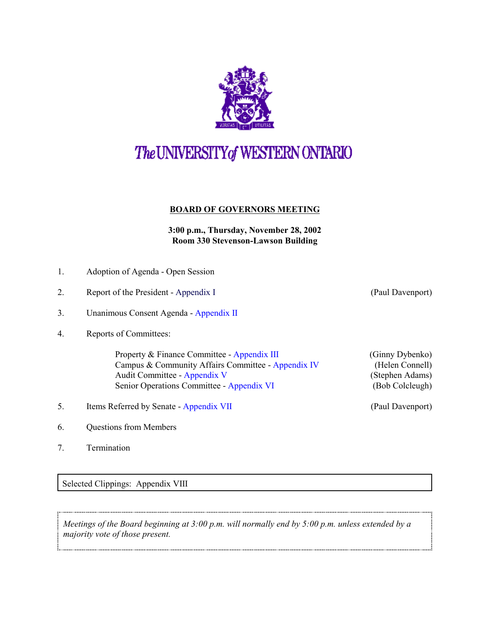

## The UNIVERSITY of WESTERN ONTARIO

## **BOARD OF GOVERNORS MEETING**

**3:00 p.m., Thursday, November 28, 2002 Room 330 Stevenson-Lawson Building**

- 1. Adoption of Agenda Open Session
- 2. Report of the President Appendix I (Paul Davenport)
- 3. Unanimous Consent Agenda [Appendix II](r0211consent.pdf)
- 4. Reports of Committees:

Property & Finance Committee - [Appendix III](r0211pf.pdf) (Ginny Dybenko) Campus & Community Affairs Committee - [Appendix IV](r0211ccac.pdf) (Helen Connell) Audit Committee - [Appendix V](r0211aud.pdf) (Stephen Adams) Senior Operations Committee - [Appendix VI](r0211sro.pdf) (Bob Colcleugh)

- 5. Items Referred by Senate [Appendix VII](r0211sen.pdf) (Paul Davenport)
- 6. Questions from Members
- 7. Termination

Selected Clippings: Appendix VIII

*Meetings of the Board beginning at 3:00 p.m. will normally end by 5:00 p.m. unless extended by a majority vote of those present.*